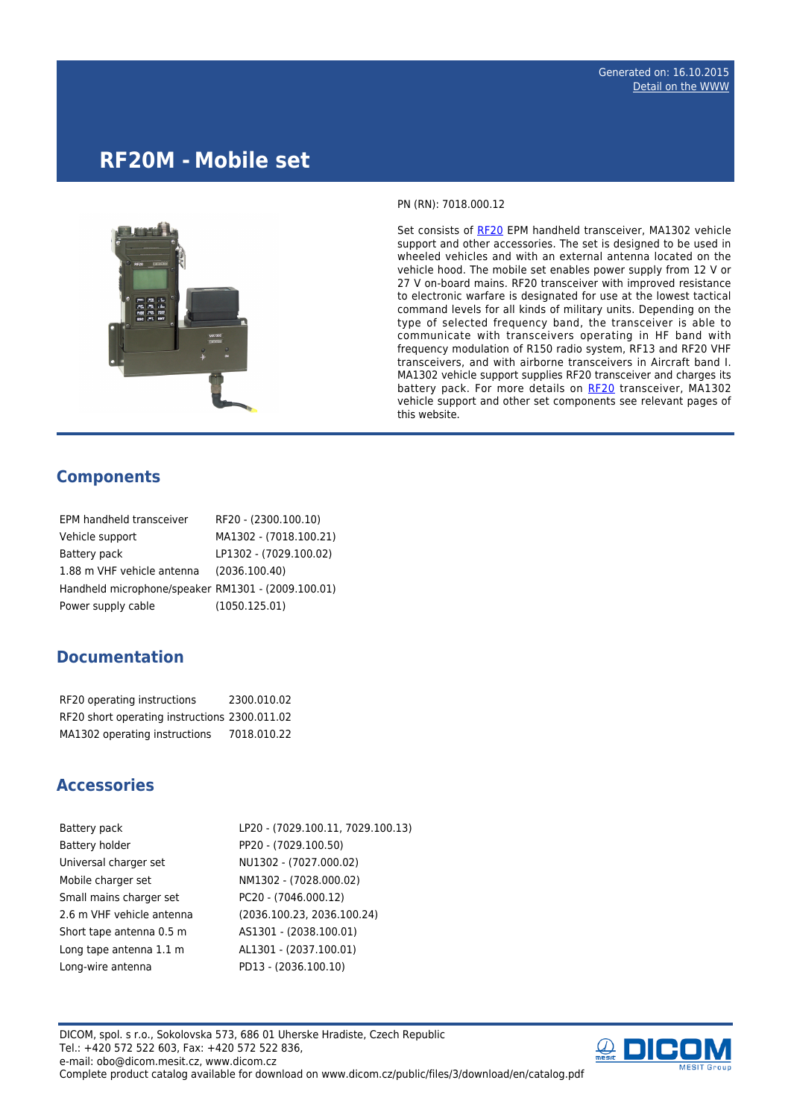## **RF20M - Mobile set**



PN (RN): 7018.000.12

Set consists of [RF20](http://www.dicom.cz/en/product/352-epm-handheld-transceiver) EPM handheld transceiver, MA1302 vehicle support and other accessories. The set is designed to be used in wheeled vehicles and with an external antenna located on the vehicle hood. The mobile set enables power supply from 12 V or 27 V on-board mains. RF20 transceiver with improved resistance to electronic warfare is designated for use at the lowest tactical command levels for all kinds of military units. Depending on the type of selected frequency band, the transceiver is able to communicate with transceivers operating in HF band with frequency modulation of R150 radio system, RF13 and RF20 VHF transceivers, and with airborne transceivers in Aircraft band I. MA1302 vehicle support supplies RF20 transceiver and charges its battery pack. For more details on [RF20](http://www.dicom.cz/en/product/352-epm-handheld-transceiver) transceiver, MA1302 vehicle support and other set components see relevant pages of this website.

## **Components**

| EPM handheld transceiver                           | RF20 - (2300.100.10)   |
|----------------------------------------------------|------------------------|
| Vehicle support                                    | MA1302 - (7018.100.21) |
| Battery pack                                       | LP1302 - (7029.100.02) |
| 1.88 m VHF vehicle antenna                         | (2036.100.40)          |
| Handheld microphone/speaker RM1301 - (2009.100.01) |                        |
| Power supply cable                                 | (1050.125.01)          |

## **Documentation**

| RF20 operating instructions                   | 2300.010.02 |
|-----------------------------------------------|-------------|
| RF20 short operating instructions 2300.011.02 |             |
| MA1302 operating instructions                 | 7018.010.22 |

## **Accessories**

| Battery pack              | LP20 - (7029.100.11, 7029.100.13) |
|---------------------------|-----------------------------------|
| Battery holder            | PP20 - (7029.100.50)              |
| Universal charger set     | NU1302 - (7027.000.02)            |
| Mobile charger set        | NM1302 - (7028.000.02)            |
| Small mains charger set   | PC20 - (7046.000.12)              |
| 2.6 m VHF vehicle antenna | (2036.100.23, 2036.100.24)        |
| Short tape antenna 0.5 m  | AS1301 - (2038.100.01)            |
| Long tape antenna 1.1 m   | AL1301 - (2037.100.01)            |
| Long-wire antenna         | PD13 - (2036.100.10)              |